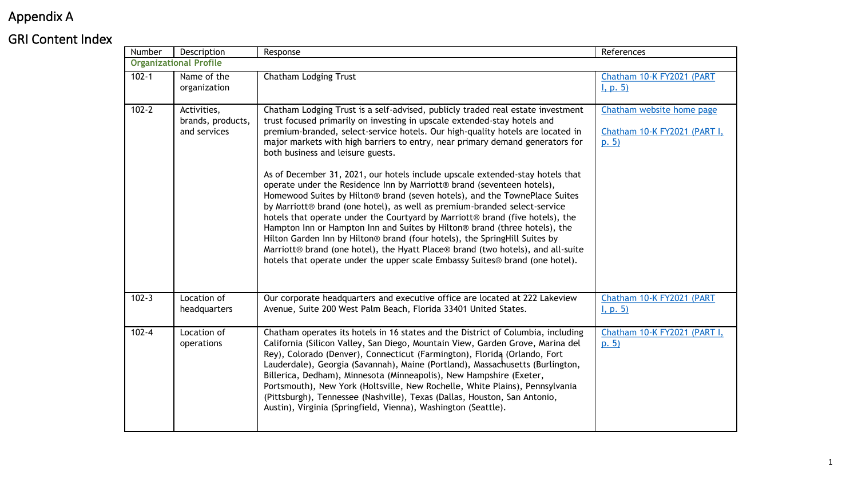# Appendix A

## GRI Content Index

| Number    | Description                                      | Response                                                                                                                                                                                                                                                                                                                                                                                                                                                                                                                                                                                                                                                                                                                                                                                                                                                                                                                                                                                                                                                                                                  | References                                                       |  |  |
|-----------|--------------------------------------------------|-----------------------------------------------------------------------------------------------------------------------------------------------------------------------------------------------------------------------------------------------------------------------------------------------------------------------------------------------------------------------------------------------------------------------------------------------------------------------------------------------------------------------------------------------------------------------------------------------------------------------------------------------------------------------------------------------------------------------------------------------------------------------------------------------------------------------------------------------------------------------------------------------------------------------------------------------------------------------------------------------------------------------------------------------------------------------------------------------------------|------------------------------------------------------------------|--|--|
|           | <b>Organizational Profile</b>                    |                                                                                                                                                                                                                                                                                                                                                                                                                                                                                                                                                                                                                                                                                                                                                                                                                                                                                                                                                                                                                                                                                                           |                                                                  |  |  |
| $102 - 1$ | Name of the<br>organization                      | Chatham Lodging Trust                                                                                                                                                                                                                                                                                                                                                                                                                                                                                                                                                                                                                                                                                                                                                                                                                                                                                                                                                                                                                                                                                     | Chatham 10-K FY2021 (PART<br>I, p. 5)                            |  |  |
| $102 - 2$ | Activities,<br>brands, products,<br>and services | Chatham Lodging Trust is a self-advised, publicly traded real estate investment<br>trust focused primarily on investing in upscale extended-stay hotels and<br>premium-branded, select-service hotels. Our high-quality hotels are located in<br>major markets with high barriers to entry, near primary demand generators for<br>both business and leisure guests.<br>As of December 31, 2021, our hotels include upscale extended-stay hotels that<br>operate under the Residence Inn by Marriott® brand (seventeen hotels),<br>Homewood Suites by Hilton® brand (seven hotels), and the TownePlace Suites<br>by Marriott® brand (one hotel), as well as premium-branded select-service<br>hotels that operate under the Courtyard by Marriott® brand (five hotels), the<br>Hampton Inn or Hampton Inn and Suites by Hilton® brand (three hotels), the<br>Hilton Garden Inn by Hilton® brand (four hotels), the SpringHill Suites by<br>Marriott® brand (one hotel), the Hyatt Place® brand (two hotels), and all-suite<br>hotels that operate under the upper scale Embassy Suites® brand (one hotel). | Chatham website home page<br>Chatham 10-K FY2021 (PART I,<br>p.5 |  |  |
| $102 - 3$ | Location of<br>headquarters                      | Our corporate headquarters and executive office are located at 222 Lakeview<br>Avenue, Suite 200 West Palm Beach, Florida 33401 United States.                                                                                                                                                                                                                                                                                                                                                                                                                                                                                                                                                                                                                                                                                                                                                                                                                                                                                                                                                            | Chatham 10-K FY2021 (PART<br>I, p. 5)                            |  |  |
| $102 - 4$ | Location of<br>operations                        | Chatham operates its hotels in 16 states and the District of Columbia, including<br>California (Silicon Valley, San Diego, Mountain View, Garden Grove, Marina del<br>Rey), Colorado (Denver), Connecticut (Farmington), Florida (Orlando, Fort<br>Lauderdale), Georgia (Savannah), Maine (Portland), Massachusetts (Burlington,<br>Billerica, Dedham), Minnesota (Minneapolis), New Hampshire (Exeter,<br>Portsmouth), New York (Holtsville, New Rochelle, White Plains), Pennsylvania<br>(Pittsburgh), Tennessee (Nashville), Texas (Dallas, Houston, San Antonio,<br>Austin), Virginia (Springfield, Vienna), Washington (Seattle).                                                                                                                                                                                                                                                                                                                                                                                                                                                                    | Chatham 10-K FY2021 (PART I,<br>p. 5)                            |  |  |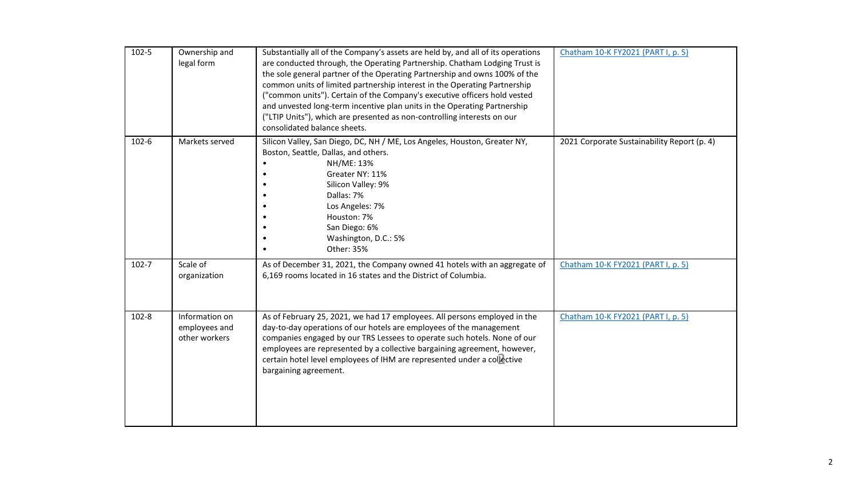| $102 - 5$ | Ownership and<br>legal form                      | Substantially all of the Company's assets are held by, and all of its operations<br>are conducted through, the Operating Partnership. Chatham Lodging Trust is<br>the sole general partner of the Operating Partnership and owns 100% of the<br>common units of limited partnership interest in the Operating Partnership<br>("common units"). Certain of the Company's executive officers hold vested<br>and unvested long-term incentive plan units in the Operating Partnership<br>("LTIP Units"), which are presented as non-controlling interests on our<br>consolidated balance sheets. | Chatham 10-K FY2021 (PART I, p. 5)          |
|-----------|--------------------------------------------------|-----------------------------------------------------------------------------------------------------------------------------------------------------------------------------------------------------------------------------------------------------------------------------------------------------------------------------------------------------------------------------------------------------------------------------------------------------------------------------------------------------------------------------------------------------------------------------------------------|---------------------------------------------|
| $102 - 6$ | Markets served                                   | Silicon Valley, San Diego, DC, NH / ME, Los Angeles, Houston, Greater NY,<br>Boston, Seattle, Dallas, and others.<br>NH/ME: 13%<br>Greater NY: 11%<br>Silicon Valley: 9%<br>Dallas: 7%<br>Los Angeles: 7%<br>Houston: 7%<br>San Diego: 6%<br>Washington, D.C.: 5%<br>Other: 35%                                                                                                                                                                                                                                                                                                               | 2021 Corporate Sustainability Report (p. 4) |
| $102 - 7$ | Scale of<br>organization                         | As of December 31, 2021, the Company owned 41 hotels with an aggregate of<br>6,169 rooms located in 16 states and the District of Columbia.                                                                                                                                                                                                                                                                                                                                                                                                                                                   | Chatham 10-K FY2021 (PART I, p. 5)          |
| $102 - 8$ | Information on<br>employees and<br>other workers | As of February 25, 2021, we had 17 employees. All persons employed in the<br>day-to-day operations of our hotels are employees of the management<br>companies engaged by our TRS Lessees to operate such hotels. None of our<br>employees are represented by a collective bargaining agreement, however,<br>certain hotel level employees of IHM are represented under a collective<br>bargaining agreement.                                                                                                                                                                                  | Chatham 10-K FY2021 (PART I, p. 5)          |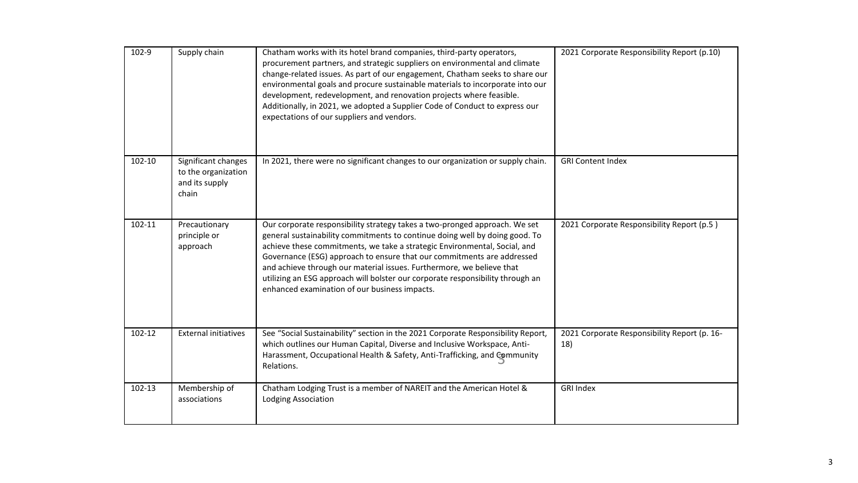| 102-9  | Supply chain                                                          | Chatham works with its hotel brand companies, third-party operators,<br>procurement partners, and strategic suppliers on environmental and climate<br>change-related issues. As part of our engagement, Chatham seeks to share our<br>environmental goals and procure sustainable materials to incorporate into our<br>development, redevelopment, and renovation projects where feasible.<br>Additionally, in 2021, we adopted a Supplier Code of Conduct to express our<br>expectations of our suppliers and vendors.      | 2021 Corporate Responsibility Report (p.10)         |
|--------|-----------------------------------------------------------------------|------------------------------------------------------------------------------------------------------------------------------------------------------------------------------------------------------------------------------------------------------------------------------------------------------------------------------------------------------------------------------------------------------------------------------------------------------------------------------------------------------------------------------|-----------------------------------------------------|
| 102-10 | Significant changes<br>to the organization<br>and its supply<br>chain | In 2021, there were no significant changes to our organization or supply chain.                                                                                                                                                                                                                                                                                                                                                                                                                                              | <b>GRI Content Index</b>                            |
| 102-11 | Precautionary<br>principle or<br>approach                             | Our corporate responsibility strategy takes a two-pronged approach. We set<br>general sustainability commitments to continue doing well by doing good. To<br>achieve these commitments, we take a strategic Environmental, Social, and<br>Governance (ESG) approach to ensure that our commitments are addressed<br>and achieve through our material issues. Furthermore, we believe that<br>utilizing an ESG approach will bolster our corporate responsibility through an<br>enhanced examination of our business impacts. | 2021 Corporate Responsibility Report (p.5)          |
| 102-12 | <b>External initiatives</b>                                           | See "Social Sustainability" section in the 2021 Corporate Responsibility Report,<br>which outlines our Human Capital, Diverse and Inclusive Workspace, Anti-<br>Harassment, Occupational Health & Safety, Anti-Trafficking, and Community<br>Relations.                                                                                                                                                                                                                                                                      | 2021 Corporate Responsibility Report (p. 16-<br>18) |
| 102-13 | Membership of<br>associations                                         | Chatham Lodging Trust is a member of NAREIT and the American Hotel &<br><b>Lodging Association</b>                                                                                                                                                                                                                                                                                                                                                                                                                           | <b>GRI Index</b>                                    |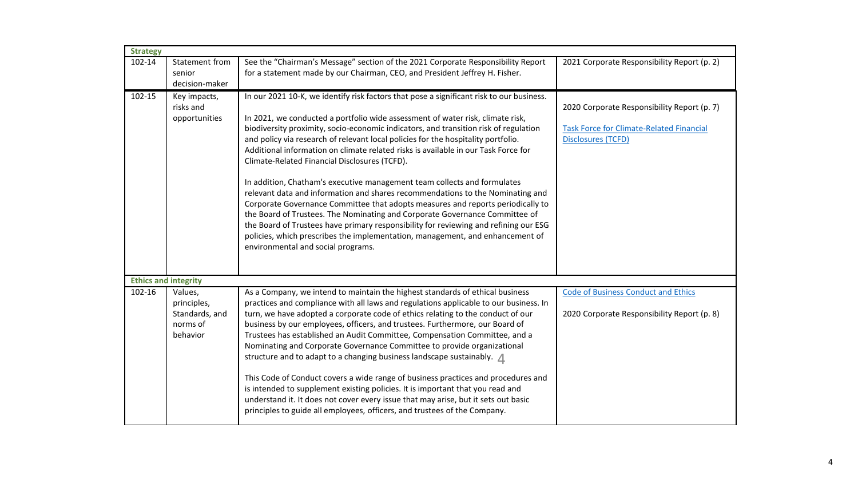| <b>Strategy</b> |                                                                  |                                                                                                                                                                                                                                                                                                                                                                                                                                                                                                                                                                                                                                                                                                                                                                                                                                                                                                                                                                                                                                               |                                                                                                                             |
|-----------------|------------------------------------------------------------------|-----------------------------------------------------------------------------------------------------------------------------------------------------------------------------------------------------------------------------------------------------------------------------------------------------------------------------------------------------------------------------------------------------------------------------------------------------------------------------------------------------------------------------------------------------------------------------------------------------------------------------------------------------------------------------------------------------------------------------------------------------------------------------------------------------------------------------------------------------------------------------------------------------------------------------------------------------------------------------------------------------------------------------------------------|-----------------------------------------------------------------------------------------------------------------------------|
| 102-14          | Statement from<br>senior                                         | See the "Chairman's Message" section of the 2021 Corporate Responsibility Report<br>for a statement made by our Chairman, CEO, and President Jeffrey H. Fisher.                                                                                                                                                                                                                                                                                                                                                                                                                                                                                                                                                                                                                                                                                                                                                                                                                                                                               | 2021 Corporate Responsibility Report (p. 2)                                                                                 |
|                 | decision-maker                                                   |                                                                                                                                                                                                                                                                                                                                                                                                                                                                                                                                                                                                                                                                                                                                                                                                                                                                                                                                                                                                                                               |                                                                                                                             |
| 102-15          | Key impacts,<br>risks and<br>opportunities                       | In our 2021 10-K, we identify risk factors that pose a significant risk to our business.<br>In 2021, we conducted a portfolio wide assessment of water risk, climate risk,<br>biodiversity proximity, socio-economic indicators, and transition risk of regulation<br>and policy via research of relevant local policies for the hospitality portfolio.<br>Additional information on climate related risks is available in our Task Force for<br>Climate-Related Financial Disclosures (TCFD).<br>In addition, Chatham's executive management team collects and formulates<br>relevant data and information and shares recommendations to the Nominating and<br>Corporate Governance Committee that adopts measures and reports periodically to<br>the Board of Trustees. The Nominating and Corporate Governance Committee of<br>the Board of Trustees have primary responsibility for reviewing and refining our ESG<br>policies, which prescribes the implementation, management, and enhancement of<br>environmental and social programs. | 2020 Corporate Responsibility Report (p. 7)<br><b>Task Force for Climate-Related Financial</b><br><b>Disclosures (TCFD)</b> |
|                 | <b>Ethics and integrity</b>                                      |                                                                                                                                                                                                                                                                                                                                                                                                                                                                                                                                                                                                                                                                                                                                                                                                                                                                                                                                                                                                                                               |                                                                                                                             |
| 102-16          | Values,<br>principles,<br>Standards, and<br>norms of<br>behavior | As a Company, we intend to maintain the highest standards of ethical business<br>practices and compliance with all laws and regulations applicable to our business. In<br>turn, we have adopted a corporate code of ethics relating to the conduct of our<br>business by our employees, officers, and trustees. Furthermore, our Board of<br>Trustees has established an Audit Committee, Compensation Committee, and a<br>Nominating and Corporate Governance Committee to provide organizational<br>structure and to adapt to a changing business landscape sustainably. 1<br>This Code of Conduct covers a wide range of business practices and procedures and<br>is intended to supplement existing policies. It is important that you read and<br>understand it. It does not cover every issue that may arise, but it sets out basic<br>principles to guide all employees, officers, and trustees of the Company.                                                                                                                        | <b>Code of Business Conduct and Ethics</b><br>2020 Corporate Responsibility Report (p. 8)                                   |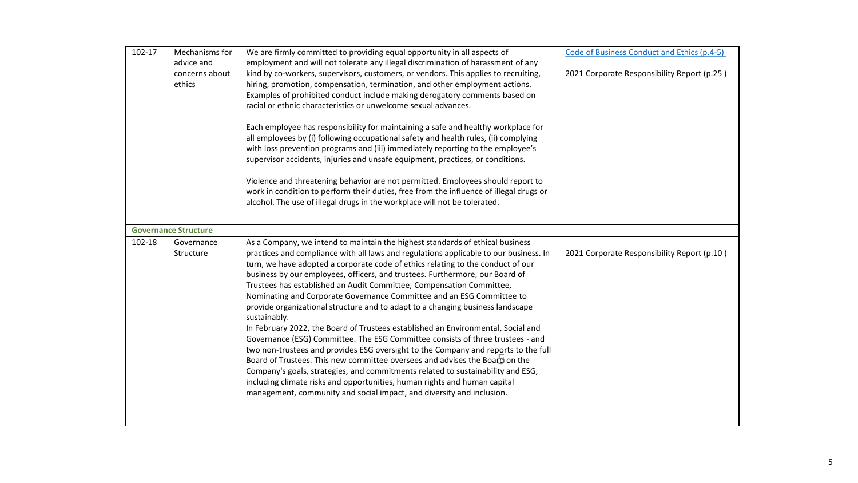| 102-17 | Mechanisms for<br>advice and<br>concerns about<br>ethics | We are firmly committed to providing equal opportunity in all aspects of<br>employment and will not tolerate any illegal discrimination of harassment of any<br>kind by co-workers, supervisors, customers, or vendors. This applies to recruiting,<br>hiring, promotion, compensation, termination, and other employment actions.<br>Examples of prohibited conduct include making derogatory comments based on<br>racial or ethnic characteristics or unwelcome sexual advances.<br>Each employee has responsibility for maintaining a safe and healthy workplace for<br>all employees by (i) following occupational safety and health rules, (ii) complying<br>with loss prevention programs and (iii) immediately reporting to the employee's<br>supervisor accidents, injuries and unsafe equipment, practices, or conditions.<br>Violence and threatening behavior are not permitted. Employees should report to<br>work in condition to perform their duties, free from the influence of illegal drugs or<br>alcohol. The use of illegal drugs in the workplace will not be tolerated.                                                                                    | Code of Business Conduct and Ethics (p.4-5)<br>2021 Corporate Responsibility Report (p.25) |
|--------|----------------------------------------------------------|----------------------------------------------------------------------------------------------------------------------------------------------------------------------------------------------------------------------------------------------------------------------------------------------------------------------------------------------------------------------------------------------------------------------------------------------------------------------------------------------------------------------------------------------------------------------------------------------------------------------------------------------------------------------------------------------------------------------------------------------------------------------------------------------------------------------------------------------------------------------------------------------------------------------------------------------------------------------------------------------------------------------------------------------------------------------------------------------------------------------------------------------------------------------------------|--------------------------------------------------------------------------------------------|
|        | <b>Governance Structure</b>                              |                                                                                                                                                                                                                                                                                                                                                                                                                                                                                                                                                                                                                                                                                                                                                                                                                                                                                                                                                                                                                                                                                                                                                                                  |                                                                                            |
| 102-18 | Governance<br>Structure                                  | As a Company, we intend to maintain the highest standards of ethical business<br>practices and compliance with all laws and regulations applicable to our business. In<br>turn, we have adopted a corporate code of ethics relating to the conduct of our<br>business by our employees, officers, and trustees. Furthermore, our Board of<br>Trustees has established an Audit Committee, Compensation Committee,<br>Nominating and Corporate Governance Committee and an ESG Committee to<br>provide organizational structure and to adapt to a changing business landscape<br>sustainably.<br>In February 2022, the Board of Trustees established an Environmental, Social and<br>Governance (ESG) Committee. The ESG Committee consists of three trustees - and<br>two non-trustees and provides ESG oversight to the Company and reports to the full<br>Board of Trustees. This new committee oversees and advises the Board on the<br>Company's goals, strategies, and commitments related to sustainability and ESG,<br>including climate risks and opportunities, human rights and human capital<br>management, community and social impact, and diversity and inclusion. | 2021 Corporate Responsibility Report (p.10)                                                |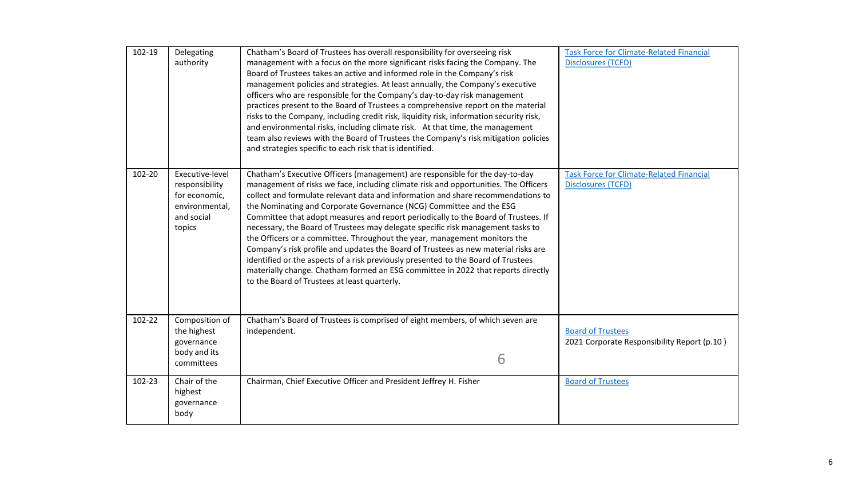| 102-19 | Delegating<br>authority                                                                      | Chatham's Board of Trustees has overall responsibility for overseeing risk<br>management with a focus on the more significant risks facing the Company. The<br>Board of Trustees takes an active and informed role in the Company's risk<br>management policies and strategies. At least annually, the Company's executive<br>officers who are responsible for the Company's day-to-day risk management<br>practices present to the Board of Trustees a comprehensive report on the material<br>risks to the Company, including credit risk, liquidity risk, information security risk,<br>and environmental risks, including climate risk. At that time, the management<br>team also reviews with the Board of Trustees the Company's risk mitigation policies<br>and strategies specific to each risk that is identified.                                                                         | <b>Task Force for Climate-Related Financial</b><br><b>Disclosures (TCFD)</b> |
|--------|----------------------------------------------------------------------------------------------|-----------------------------------------------------------------------------------------------------------------------------------------------------------------------------------------------------------------------------------------------------------------------------------------------------------------------------------------------------------------------------------------------------------------------------------------------------------------------------------------------------------------------------------------------------------------------------------------------------------------------------------------------------------------------------------------------------------------------------------------------------------------------------------------------------------------------------------------------------------------------------------------------------|------------------------------------------------------------------------------|
| 102-20 | Executive-level<br>responsibility<br>for economic,<br>environmental,<br>and social<br>topics | Chatham's Executive Officers (management) are responsible for the day-to-day<br>management of risks we face, including climate risk and opportunities. The Officers<br>collect and formulate relevant data and information and share recommendations to<br>the Nominating and Corporate Governance (NCG) Committee and the ESG<br>Committee that adopt measures and report periodically to the Board of Trustees. If<br>necessary, the Board of Trustees may delegate specific risk management tasks to<br>the Officers or a committee. Throughout the year, management monitors the<br>Company's risk profile and updates the Board of Trustees as new material risks are<br>identified or the aspects of a risk previously presented to the Board of Trustees<br>materially change. Chatham formed an ESG committee in 2022 that reports directly<br>to the Board of Trustees at least quarterly. | <b>Task Force for Climate-Related Financial</b><br><b>Disclosures (TCFD)</b> |
| 102-22 | Composition of<br>the highest<br>governance<br>body and its<br>committees                    | Chatham's Board of Trustees is comprised of eight members, of which seven are<br>independent.<br>6                                                                                                                                                                                                                                                                                                                                                                                                                                                                                                                                                                                                                                                                                                                                                                                                  | <b>Board of Trustees</b><br>2021 Corporate Responsibility Report (p.10)      |
| 102-23 | Chair of the<br>highest<br>governance<br>body                                                | Chairman, Chief Executive Officer and President Jeffrey H. Fisher                                                                                                                                                                                                                                                                                                                                                                                                                                                                                                                                                                                                                                                                                                                                                                                                                                   | <b>Board of Trustees</b>                                                     |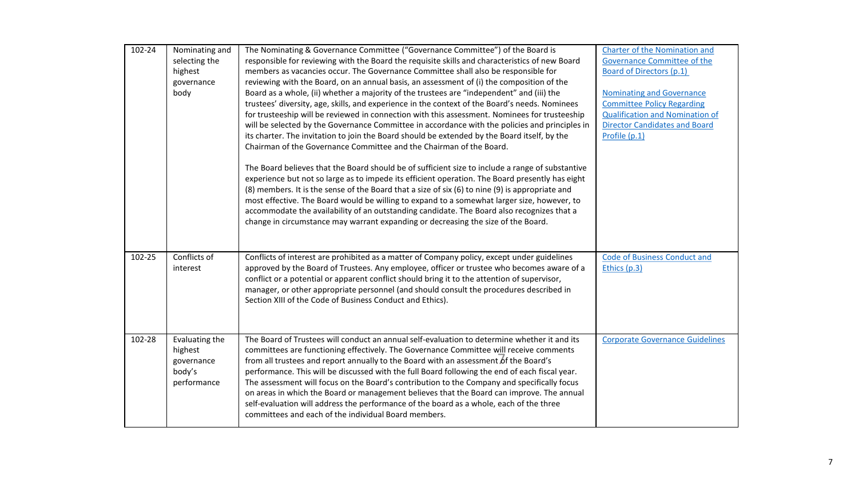| 102-24 | Nominating and<br>selecting the<br>highest<br>governance<br>body | The Nominating & Governance Committee ("Governance Committee") of the Board is<br>responsible for reviewing with the Board the requisite skills and characteristics of new Board<br>members as vacancies occur. The Governance Committee shall also be responsible for<br>reviewing with the Board, on an annual basis, an assessment of (i) the composition of the<br>Board as a whole, (ii) whether a majority of the trustees are "independent" and (iii) the<br>trustees' diversity, age, skills, and experience in the context of the Board's needs. Nominees<br>for trusteeship will be reviewed in connection with this assessment. Nominees for trusteeship<br>will be selected by the Governance Committee in accordance with the policies and principles in<br>its charter. The invitation to join the Board should be extended by the Board itself, by the<br>Chairman of the Governance Committee and the Chairman of the Board. | <b>Charter of the Nomination and</b><br>Governance Committee of the<br>Board of Directors (p.1)<br><b>Nominating and Governance</b><br><b>Committee Policy Regarding</b><br><b>Qualification and Nomination of</b><br><b>Director Candidates and Board</b><br>Profile (p.1) |
|--------|------------------------------------------------------------------|----------------------------------------------------------------------------------------------------------------------------------------------------------------------------------------------------------------------------------------------------------------------------------------------------------------------------------------------------------------------------------------------------------------------------------------------------------------------------------------------------------------------------------------------------------------------------------------------------------------------------------------------------------------------------------------------------------------------------------------------------------------------------------------------------------------------------------------------------------------------------------------------------------------------------------------------|-----------------------------------------------------------------------------------------------------------------------------------------------------------------------------------------------------------------------------------------------------------------------------|
|        |                                                                  | The Board believes that the Board should be of sufficient size to include a range of substantive<br>experience but not so large as to impede its efficient operation. The Board presently has eight<br>(8) members. It is the sense of the Board that a size of six (6) to nine (9) is appropriate and<br>most effective. The Board would be willing to expand to a somewhat larger size, however, to<br>accommodate the availability of an outstanding candidate. The Board also recognizes that a<br>change in circumstance may warrant expanding or decreasing the size of the Board.                                                                                                                                                                                                                                                                                                                                                     |                                                                                                                                                                                                                                                                             |
| 102-25 | Conflicts of<br>interest                                         | Conflicts of interest are prohibited as a matter of Company policy, except under guidelines<br>approved by the Board of Trustees. Any employee, officer or trustee who becomes aware of a<br>conflict or a potential or apparent conflict should bring it to the attention of supervisor,<br>manager, or other appropriate personnel (and should consult the procedures described in<br>Section XIII of the Code of Business Conduct and Ethics).                                                                                                                                                                                                                                                                                                                                                                                                                                                                                            | <b>Code of Business Conduct and</b><br>Ethics (p.3)                                                                                                                                                                                                                         |
| 102-28 | Evaluating the<br>highest<br>governance<br>body's<br>performance | The Board of Trustees will conduct an annual self-evaluation to determine whether it and its<br>committees are functioning effectively. The Governance Committee will receive comments<br>from all trustees and report annually to the Board with an assessment of the Board's<br>performance. This will be discussed with the full Board following the end of each fiscal year.<br>The assessment will focus on the Board's contribution to the Company and specifically focus<br>on areas in which the Board or management believes that the Board can improve. The annual<br>self-evaluation will address the performance of the board as a whole, each of the three<br>committees and each of the individual Board members.                                                                                                                                                                                                              | <b>Corporate Governance Guidelines</b>                                                                                                                                                                                                                                      |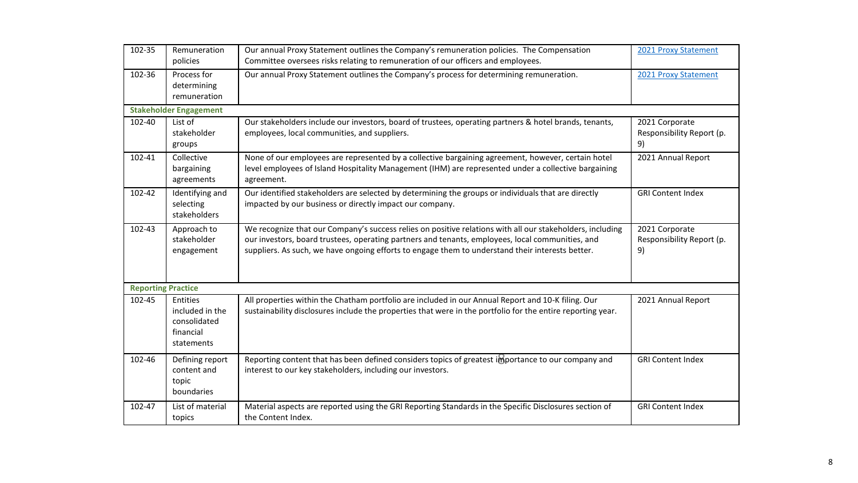| 102-35                    | Remuneration<br>policies                                                                                                                                                                                                                                                                    | Our annual Proxy Statement outlines the Company's remuneration policies. The Compensation<br>Committee oversees risks relating to remuneration of our officers and employees.                                                                                                                                     | 2021 Proxy Statement                              |
|---------------------------|---------------------------------------------------------------------------------------------------------------------------------------------------------------------------------------------------------------------------------------------------------------------------------------------|-------------------------------------------------------------------------------------------------------------------------------------------------------------------------------------------------------------------------------------------------------------------------------------------------------------------|---------------------------------------------------|
| 102-36                    | Process for<br>determining<br>remuneration                                                                                                                                                                                                                                                  | Our annual Proxy Statement outlines the Company's process for determining remuneration.                                                                                                                                                                                                                           | 2021 Proxy Statement                              |
|                           | <b>Stakeholder Engagement</b>                                                                                                                                                                                                                                                               |                                                                                                                                                                                                                                                                                                                   |                                                   |
| 102-40                    | List of<br>stakeholder<br>groups                                                                                                                                                                                                                                                            | Our stakeholders include our investors, board of trustees, operating partners & hotel brands, tenants,<br>employees, local communities, and suppliers.                                                                                                                                                            | 2021 Corporate<br>Responsibility Report (p.<br>9) |
| 102-41                    | Collective<br>bargaining<br>agreements                                                                                                                                                                                                                                                      | None of our employees are represented by a collective bargaining agreement, however, certain hotel<br>2021 Annual Report<br>level employees of Island Hospitality Management (IHM) are represented under a collective bargaining<br>agreement.                                                                    |                                                   |
| 102-42                    | Identifying and<br>selecting<br>stakeholders                                                                                                                                                                                                                                                | Our identified stakeholders are selected by determining the groups or individuals that are directly<br>impacted by our business or directly impact our company.                                                                                                                                                   | <b>GRI Content Index</b>                          |
| 102-43                    | Approach to<br>stakeholder<br>engagement                                                                                                                                                                                                                                                    | We recognize that our Company's success relies on positive relations with all our stakeholders, including<br>our investors, board trustees, operating partners and tenants, employees, local communities, and<br>suppliers. As such, we have ongoing efforts to engage them to understand their interests better. | 2021 Corporate<br>Responsibility Report (p.<br>9) |
| <b>Reporting Practice</b> |                                                                                                                                                                                                                                                                                             |                                                                                                                                                                                                                                                                                                                   |                                                   |
| 102-45                    | All properties within the Chatham portfolio are included in our Annual Report and 10-K filing. Our<br>Entities<br>included in the<br>sustainability disclosures include the properties that were in the portfolio for the entire reporting year.<br>consolidated<br>financial<br>statements |                                                                                                                                                                                                                                                                                                                   | 2021 Annual Report                                |
| 102-46                    | Defining report<br>content and<br>topic<br>boundaries                                                                                                                                                                                                                                       | Reporting content that has been defined considers topics of greatest importance to our company and<br>interest to our key stakeholders, including our investors.                                                                                                                                                  | <b>GRI Content Index</b>                          |
| 102-47                    | List of material<br>topics                                                                                                                                                                                                                                                                  | Material aspects are reported using the GRI Reporting Standards in the Specific Disclosures section of<br>the Content Index.                                                                                                                                                                                      | <b>GRI Content Index</b>                          |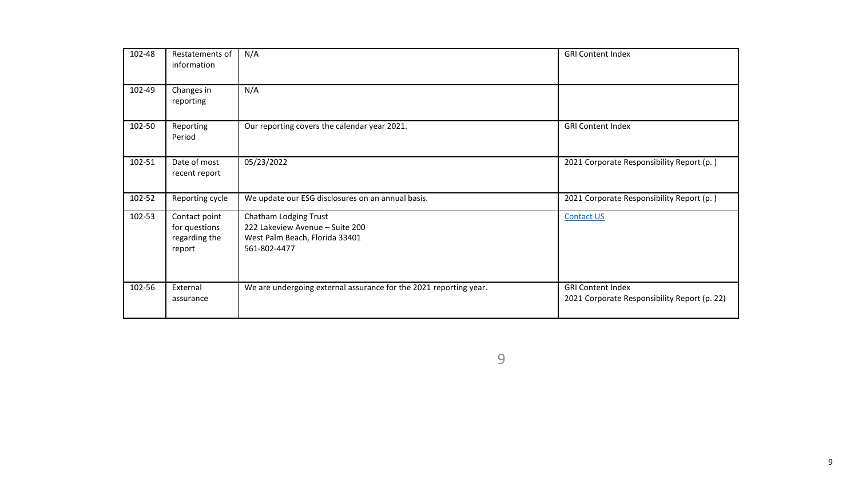| 102-48 | Restatements of<br>information                            | N/A                                                                                                        | <b>GRI Content Index</b>                                                 |
|--------|-----------------------------------------------------------|------------------------------------------------------------------------------------------------------------|--------------------------------------------------------------------------|
| 102-49 | Changes in<br>reporting                                   | N/A                                                                                                        |                                                                          |
| 102-50 | Reporting<br>Period                                       | Our reporting covers the calendar year 2021.                                                               | <b>GRI Content Index</b>                                                 |
| 102-51 | Date of most<br>recent report                             | 05/23/2022                                                                                                 | 2021 Corporate Responsibility Report (p.)                                |
| 102-52 | Reporting cycle                                           | We update our ESG disclosures on an annual basis.                                                          | 2021 Corporate Responsibility Report (p.)                                |
| 102-53 | Contact point<br>for questions<br>regarding the<br>report | Chatham Lodging Trust<br>222 Lakeview Avenue - Suite 200<br>West Palm Beach, Florida 33401<br>561-802-4477 | <b>Contact US</b>                                                        |
| 102-56 | External<br>assurance                                     | We are undergoing external assurance for the 2021 reporting year.                                          | <b>GRI Content Index</b><br>2021 Corporate Responsibility Report (p. 22) |

9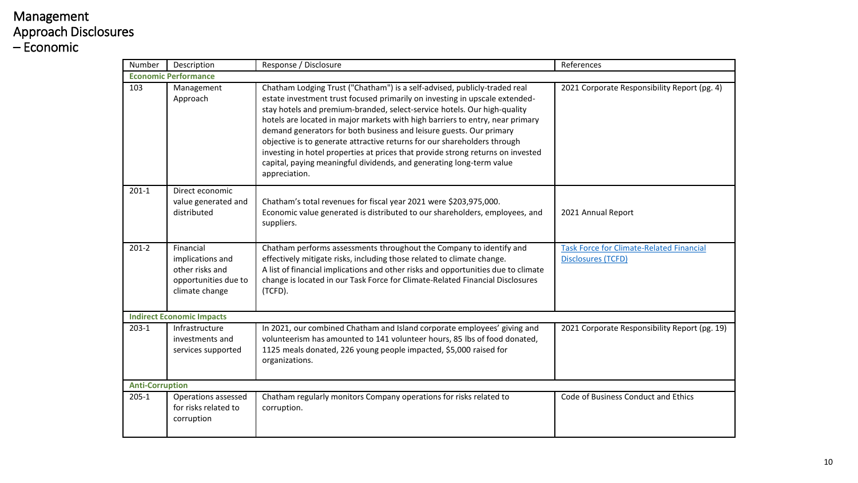### Management Approach Disclosures – Economic

| Number                      | Description                                                                                | Response / Disclosure                                                                                                                                                                                                                                                                                                                                                                                                                                                                                                                                                                                                                                | References                                                            |  |  |
|-----------------------------|--------------------------------------------------------------------------------------------|------------------------------------------------------------------------------------------------------------------------------------------------------------------------------------------------------------------------------------------------------------------------------------------------------------------------------------------------------------------------------------------------------------------------------------------------------------------------------------------------------------------------------------------------------------------------------------------------------------------------------------------------------|-----------------------------------------------------------------------|--|--|
| <b>Economic Performance</b> |                                                                                            |                                                                                                                                                                                                                                                                                                                                                                                                                                                                                                                                                                                                                                                      |                                                                       |  |  |
| 103                         | Management<br>Approach                                                                     | Chatham Lodging Trust ("Chatham") is a self-advised, publicly-traded real<br>estate investment trust focused primarily on investing in upscale extended-<br>stay hotels and premium-branded, select-service hotels. Our high-quality<br>hotels are located in major markets with high barriers to entry, near primary<br>demand generators for both business and leisure guests. Our primary<br>objective is to generate attractive returns for our shareholders through<br>investing in hotel properties at prices that provide strong returns on invested<br>capital, paying meaningful dividends, and generating long-term value<br>appreciation. | 2021 Corporate Responsibility Report (pg. 4)                          |  |  |
| $201 - 1$                   | Direct economic<br>value generated and<br>distributed                                      | Chatham's total revenues for fiscal year 2021 were \$203,975,000.<br>Economic value generated is distributed to our shareholders, employees, and<br>suppliers.                                                                                                                                                                                                                                                                                                                                                                                                                                                                                       | 2021 Annual Report                                                    |  |  |
| $201-2$                     | Financial<br>implications and<br>other risks and<br>opportunities due to<br>climate change | Chatham performs assessments throughout the Company to identify and<br>effectively mitigate risks, including those related to climate change.<br>A list of financial implications and other risks and opportunities due to climate<br>change is located in our Task Force for Climate-Related Financial Disclosures<br>(TCFD).                                                                                                                                                                                                                                                                                                                       | <b>Task Force for Climate-Related Financial</b><br>Disclosures (TCFD) |  |  |
|                             | <b>Indirect Economic Impacts</b>                                                           |                                                                                                                                                                                                                                                                                                                                                                                                                                                                                                                                                                                                                                                      |                                                                       |  |  |
| $203-1$                     | Infrastructure                                                                             | In 2021, our combined Chatham and Island corporate employees' giving and                                                                                                                                                                                                                                                                                                                                                                                                                                                                                                                                                                             | 2021 Corporate Responsibility Report (pg. 19                          |  |  |
|                             |                                                                                            | $\mathbf{r}$ , $\mathbf{r}$ , $\mathbf{r}$ , $\mathbf{r}$ , $\mathbf{r}$ , $\mathbf{r}$ , $\mathbf{r}$ , $\mathbf{r}$ , $\mathbf{r}$ , $\mathbf{r}$ , $\mathbf{r}$ , $\mathbf{r}$ , $\mathbf{r}$ , $\mathbf{r}$ , $\mathbf{r}$ , $\mathbf{r}$ , $\mathbf{r}$ , $\mathbf{r}$ , $\mathbf{r}$ , $\mathbf{r}$ ,                                                                                                                                                                                                                                                                                                                                          |                                                                       |  |  |

|                        |                                                                                            | demand generators for both business and leisure guests. Our primary<br>objective is to generate attractive returns for our shareholders through<br>investing in hotel properties at prices that provide strong returns on invested<br>capital, paying meaningful dividends, and generating long-term value<br>appreciation.    |                                                                       |
|------------------------|--------------------------------------------------------------------------------------------|--------------------------------------------------------------------------------------------------------------------------------------------------------------------------------------------------------------------------------------------------------------------------------------------------------------------------------|-----------------------------------------------------------------------|
| $201 - 1$              | Direct economic<br>value generated and<br>distributed                                      | Chatham's total revenues for fiscal year 2021 were \$203,975,000.<br>Economic value generated is distributed to our shareholders, employees, and<br>suppliers.                                                                                                                                                                 | 2021 Annual Report                                                    |
| $201-2$                | Financial<br>implications and<br>other risks and<br>opportunities due to<br>climate change | Chatham performs assessments throughout the Company to identify and<br>effectively mitigate risks, including those related to climate change.<br>A list of financial implications and other risks and opportunities due to climate<br>change is located in our Task Force for Climate-Related Financial Disclosures<br>(TCFD). | <b>Task Force for Climate-Related Financial</b><br>Disclosures (TCFD) |
|                        | <b>Indirect Economic Impacts</b>                                                           |                                                                                                                                                                                                                                                                                                                                |                                                                       |
| $203-1$                | Infrastructure<br>investments and<br>services supported                                    | In 2021, our combined Chatham and Island corporate employees' giving and<br>volunteerism has amounted to 141 volunteer hours, 85 lbs of food donated,<br>1125 meals donated, 226 young people impacted, \$5,000 raised for<br>organizations.                                                                                   | 2021 Corporate Responsibility Report (pg. 19)                         |
| <b>Anti-Corruption</b> |                                                                                            |                                                                                                                                                                                                                                                                                                                                |                                                                       |
| $205 - 1$              | Operations assessed<br>for risks related to<br>corruption                                  | Chatham regularly monitors Company operations for risks related to<br>corruption.                                                                                                                                                                                                                                              | Code of Business Conduct and Ethics                                   |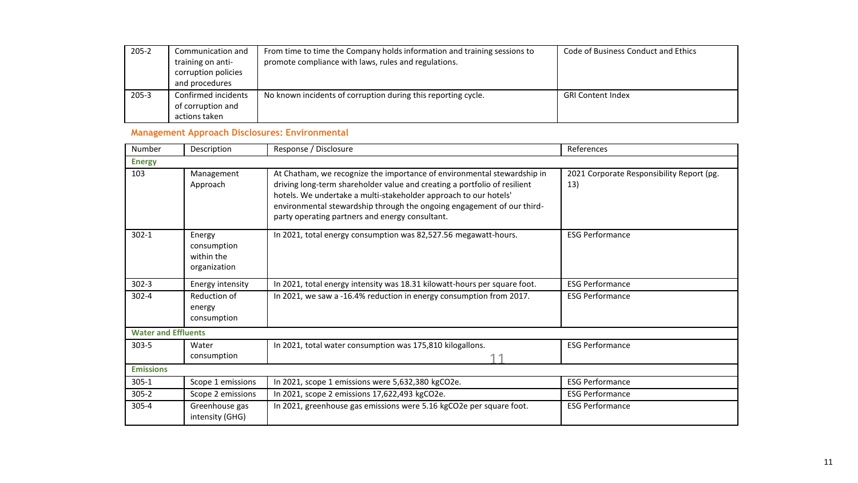| $205 - 2$ | Communication and   | From time to time the Company holds information and training sessions to | Code of Business Conduct and Ethics |
|-----------|---------------------|--------------------------------------------------------------------------|-------------------------------------|
|           | training on anti-   | promote compliance with laws, rules and regulations.                     |                                     |
|           | corruption policies |                                                                          |                                     |
|           | and procedures      |                                                                          |                                     |
| $205 - 3$ | Confirmed incidents | No known incidents of corruption during this reporting cycle.            | <b>GRI Content Index</b>            |
|           | of corruption and   |                                                                          |                                     |
|           | actions taken       |                                                                          |                                     |

#### **Management Approach Disclosures: Environmental**

| Number                     | Description                                         | Response / Disclosure                                                                                                                                                                                                                                                                                                                                 | References                                       |  |
|----------------------------|-----------------------------------------------------|-------------------------------------------------------------------------------------------------------------------------------------------------------------------------------------------------------------------------------------------------------------------------------------------------------------------------------------------------------|--------------------------------------------------|--|
| <b>Energy</b>              |                                                     |                                                                                                                                                                                                                                                                                                                                                       |                                                  |  |
| 103                        | Management<br>Approach                              | At Chatham, we recognize the importance of environmental stewardship in<br>driving long-term shareholder value and creating a portfolio of resilient<br>hotels. We undertake a multi-stakeholder approach to our hotels'<br>environmental stewardship through the ongoing engagement of our third-<br>party operating partners and energy consultant. | 2021 Corporate Responsibility Report (pg.<br>13) |  |
| $302 - 1$                  | Energy<br>consumption<br>within the<br>organization | In 2021, total energy consumption was 82,527.56 megawatt-hours.                                                                                                                                                                                                                                                                                       | <b>ESG Performance</b>                           |  |
| $302 - 3$                  | Energy intensity                                    | In 2021, total energy intensity was 18.31 kilowatt-hours per square foot.                                                                                                                                                                                                                                                                             | <b>ESG Performance</b>                           |  |
| $302 - 4$                  | Reduction of<br>energy<br>consumption               | In 2021, we saw a -16.4% reduction in energy consumption from 2017.                                                                                                                                                                                                                                                                                   | <b>ESG Performance</b>                           |  |
| <b>Water and Effluents</b> |                                                     |                                                                                                                                                                                                                                                                                                                                                       |                                                  |  |
| $303 - 5$                  | Water<br>consumption                                | In 2021, total water consumption was 175,810 kilogallons.                                                                                                                                                                                                                                                                                             | <b>ESG Performance</b>                           |  |
| <b>Emissions</b>           |                                                     |                                                                                                                                                                                                                                                                                                                                                       |                                                  |  |
| $305 - 1$                  | Scope 1 emissions                                   | In 2021, scope 1 emissions were 5,632,380 kgCO2e.                                                                                                                                                                                                                                                                                                     | <b>ESG Performance</b>                           |  |
| $305 - 2$                  | Scope 2 emissions                                   | In 2021, scope 2 emissions 17,622,493 kgCO2e.                                                                                                                                                                                                                                                                                                         | <b>ESG Performance</b>                           |  |
| $305 - 4$                  | Greenhouse gas<br>intensity (GHG)                   | In 2021, greenhouse gas emissions were 5.16 kgCO2e per square foot.                                                                                                                                                                                                                                                                                   | <b>ESG Performance</b>                           |  |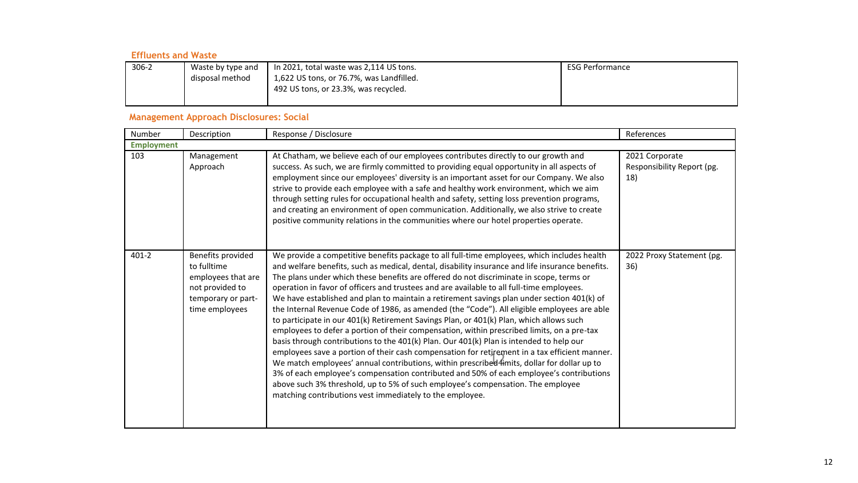#### **Effluents and Waste**

| $306-2$ | Waste by type and | $\vert$ In 2021, total waste was 2,114 US tons. | <b>ESG Performance</b> |
|---------|-------------------|-------------------------------------------------|------------------------|
|         | disposal method   | 1,622 US tons, or 76.7%, was Landfilled.        |                        |
|         |                   | 492 US tons, or 23.3%, was recycled.            |                        |
|         |                   |                                                 |                        |

#### **Management Approach Disclosures: Social**

| Number            | Description                                                                                                       | Response / Disclosure                                                                                                                                                                                                                                                                                                                                                                                                                                                                                                                                                                                                                                                                                                                                                                                                                                                                                                                                                                                                                                                                                                                                                                                                                                                                                             | References                                          |  |
|-------------------|-------------------------------------------------------------------------------------------------------------------|-------------------------------------------------------------------------------------------------------------------------------------------------------------------------------------------------------------------------------------------------------------------------------------------------------------------------------------------------------------------------------------------------------------------------------------------------------------------------------------------------------------------------------------------------------------------------------------------------------------------------------------------------------------------------------------------------------------------------------------------------------------------------------------------------------------------------------------------------------------------------------------------------------------------------------------------------------------------------------------------------------------------------------------------------------------------------------------------------------------------------------------------------------------------------------------------------------------------------------------------------------------------------------------------------------------------|-----------------------------------------------------|--|
| <b>Employment</b> |                                                                                                                   |                                                                                                                                                                                                                                                                                                                                                                                                                                                                                                                                                                                                                                                                                                                                                                                                                                                                                                                                                                                                                                                                                                                                                                                                                                                                                                                   |                                                     |  |
| 103               | Management<br>Approach                                                                                            | At Chatham, we believe each of our employees contributes directly to our growth and<br>success. As such, we are firmly committed to providing equal opportunity in all aspects of<br>employment since our employees' diversity is an important asset for our Company. We also<br>strive to provide each employee with a safe and healthy work environment, which we aim<br>through setting rules for occupational health and safety, setting loss prevention programs,<br>and creating an environment of open communication. Additionally, we also strive to create<br>positive community relations in the communities where our hotel properties operate.                                                                                                                                                                                                                                                                                                                                                                                                                                                                                                                                                                                                                                                        | 2021 Corporate<br>Responsibility Report (pg.<br>18) |  |
| $401 - 2$         | Benefits provided<br>to fulltime<br>employees that are<br>not provided to<br>temporary or part-<br>time employees | We provide a competitive benefits package to all full-time employees, which includes health<br>and welfare benefits, such as medical, dental, disability insurance and life insurance benefits.<br>The plans under which these benefits are offered do not discriminate in scope, terms or<br>operation in favor of officers and trustees and are available to all full-time employees.<br>We have established and plan to maintain a retirement savings plan under section 401(k) of<br>the Internal Revenue Code of 1986, as amended (the "Code"). All eligible employees are able<br>to participate in our 401(k) Retirement Savings Plan, or 401(k) Plan, which allows such<br>employees to defer a portion of their compensation, within prescribed limits, on a pre-tax<br>basis through contributions to the 401(k) Plan. Our 401(k) Plan is intended to help our<br>employees save a portion of their cash compensation for retirement in a tax efficient manner.<br>We match employees' annual contributions, within prescribed 4mits, dollar for dollar up to<br>3% of each employee's compensation contributed and 50% of each employee's contributions<br>above such 3% threshold, up to 5% of such employee's compensation. The employee<br>matching contributions vest immediately to the employee. | 2022 Proxy Statement (pg.<br>36)                    |  |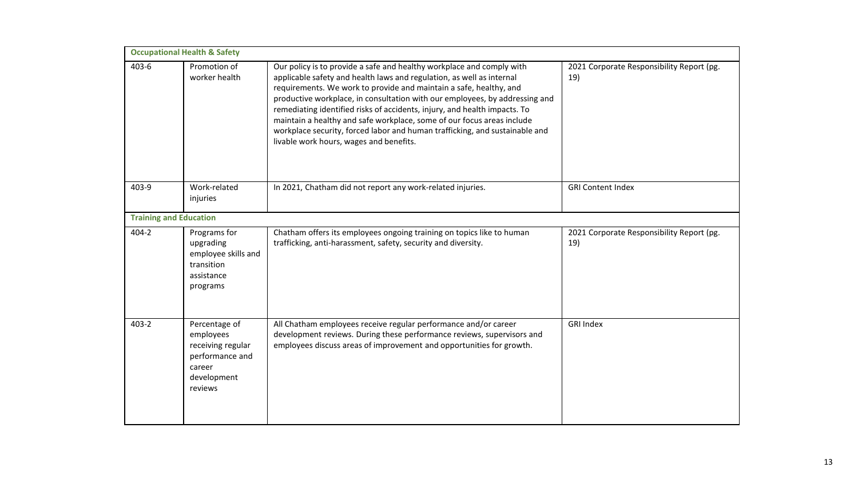| <b>Occupational Health &amp; Safety</b> |                                                                                                        |                                                                                                                                                                                                                                                                                                                                                                                                                                                                                                                                                                                      |                                                  |  |
|-----------------------------------------|--------------------------------------------------------------------------------------------------------|--------------------------------------------------------------------------------------------------------------------------------------------------------------------------------------------------------------------------------------------------------------------------------------------------------------------------------------------------------------------------------------------------------------------------------------------------------------------------------------------------------------------------------------------------------------------------------------|--------------------------------------------------|--|
| 403-6                                   | Promotion of<br>worker health                                                                          | Our policy is to provide a safe and healthy workplace and comply with<br>applicable safety and health laws and regulation, as well as internal<br>requirements. We work to provide and maintain a safe, healthy, and<br>productive workplace, in consultation with our employees, by addressing and<br>remediating identified risks of accidents, injury, and health impacts. To<br>maintain a healthy and safe workplace, some of our focus areas include<br>workplace security, forced labor and human trafficking, and sustainable and<br>livable work hours, wages and benefits. | 2021 Corporate Responsibility Report (pg.<br>19) |  |
| 403-9                                   | Work-related<br>injuries                                                                               | In 2021, Chatham did not report any work-related injuries.                                                                                                                                                                                                                                                                                                                                                                                                                                                                                                                           | <b>GRI Content Index</b>                         |  |
| <b>Training and Education</b>           |                                                                                                        |                                                                                                                                                                                                                                                                                                                                                                                                                                                                                                                                                                                      |                                                  |  |
| 404-2                                   | Programs for<br>upgrading<br>employee skills and<br>transition<br>assistance<br>programs               | Chatham offers its employees ongoing training on topics like to human<br>trafficking, anti-harassment, safety, security and diversity.                                                                                                                                                                                                                                                                                                                                                                                                                                               | 2021 Corporate Responsibility Report (pg.<br>19) |  |
| 403-2                                   | Percentage of<br>employees<br>receiving regular<br>performance and<br>career<br>development<br>reviews | All Chatham employees receive regular performance and/or career<br>development reviews. During these performance reviews, supervisors and<br>employees discuss areas of improvement and opportunities for growth.                                                                                                                                                                                                                                                                                                                                                                    | <b>GRI Index</b>                                 |  |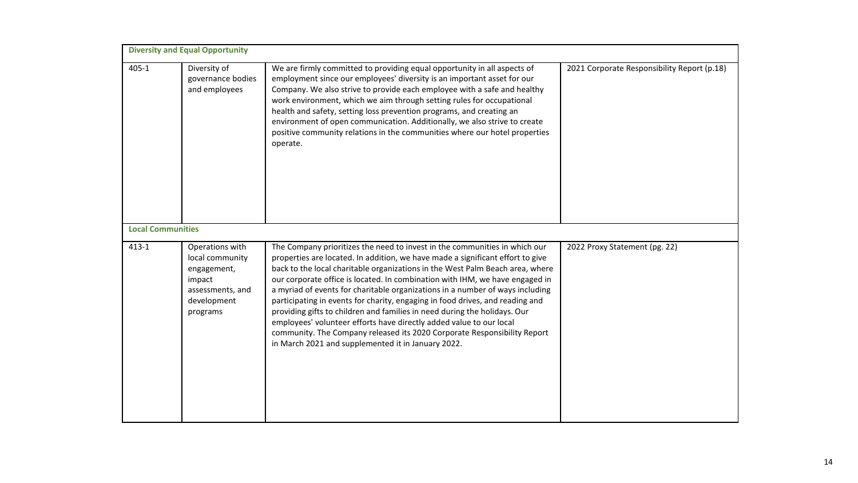| <b>Diversity and Equal Opportunity</b> |                                                                                                            |                                                                                                                                                                                                                                                                                                                                                                                                                                                                                                                                                                                                                                                                                                                                                                                       |                                             |  |
|----------------------------------------|------------------------------------------------------------------------------------------------------------|---------------------------------------------------------------------------------------------------------------------------------------------------------------------------------------------------------------------------------------------------------------------------------------------------------------------------------------------------------------------------------------------------------------------------------------------------------------------------------------------------------------------------------------------------------------------------------------------------------------------------------------------------------------------------------------------------------------------------------------------------------------------------------------|---------------------------------------------|--|
| $405 - 1$                              | Diversity of<br>governance bodies<br>and employees                                                         | We are firmly committed to providing equal opportunity in all aspects of<br>employment since our employees' diversity is an important asset for our<br>Company. We also strive to provide each employee with a safe and healthy<br>work environment, which we aim through setting rules for occupational<br>health and safety, setting loss prevention programs, and creating an<br>environment of open communication. Additionally, we also strive to create<br>positive community relations in the communities where our hotel properties<br>operate.                                                                                                                                                                                                                               | 2021 Corporate Responsibility Report (p.18) |  |
|                                        | <b>Local Communities</b>                                                                                   |                                                                                                                                                                                                                                                                                                                                                                                                                                                                                                                                                                                                                                                                                                                                                                                       |                                             |  |
| $413 - 1$                              | Operations with<br>local community<br>engagement,<br>impact<br>assessments, and<br>development<br>programs | The Company prioritizes the need to invest in the communities in which our<br>properties are located. In addition, we have made a significant effort to give<br>back to the local charitable organizations in the West Palm Beach area, where<br>our corporate office is located. In combination with IHM, we have engaged in<br>a myriad of events for charitable organizations in a number of ways including<br>participating in events for charity, engaging in food drives, and reading and<br>providing gifts to children and families in need during the holidays. Our<br>employees' volunteer efforts have directly added value to our local<br>community. The Company released its 2020 Corporate Responsibility Report<br>in March 2021 and supplemented it in January 2022. | 2022 Proxy Statement (pg. 22)               |  |